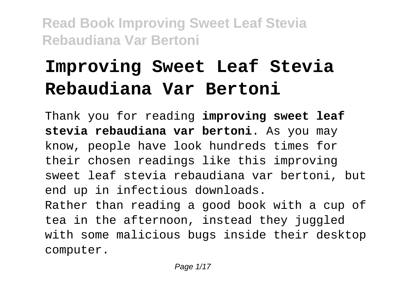# **Improving Sweet Leaf Stevia Rebaudiana Var Bertoni**

Thank you for reading **improving sweet leaf stevia rebaudiana var bertoni**. As you may know, people have look hundreds times for their chosen readings like this improving sweet leaf stevia rebaudiana var bertoni, but end up in infectious downloads. Rather than reading a good book with a cup of tea in the afternoon, instead they juggled with some malicious bugs inside their desktop computer.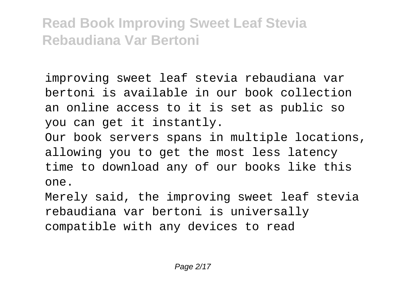improving sweet leaf stevia rebaudiana var bertoni is available in our book collection an online access to it is set as public so you can get it instantly.

Our book servers spans in multiple locations, allowing you to get the most less latency time to download any of our books like this one.

Merely said, the improving sweet leaf stevia rebaudiana var bertoni is universally compatible with any devices to read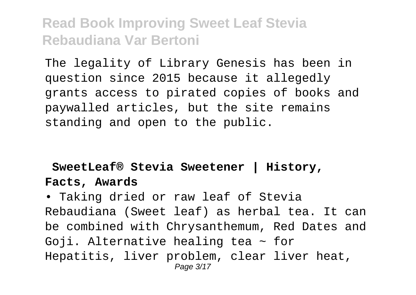The legality of Library Genesis has been in question since 2015 because it allegedly grants access to pirated copies of books and paywalled articles, but the site remains standing and open to the public.

#### **SweetLeaf® Stevia Sweetener | History, Facts, Awards**

• Taking dried or raw leaf of Stevia Rebaudiana (Sweet leaf) as herbal tea. It can be combined with Chrysanthemum, Red Dates and Goji. Alternative healing tea  $\sim$  for Hepatitis, liver problem, clear liver heat, Page 3/17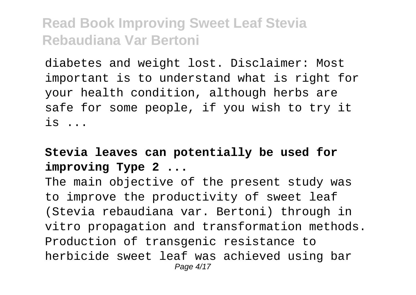diabetes and weight lost. Disclaimer: Most important is to understand what is right for your health condition, although herbs are safe for some people, if you wish to try it is ...

### **Stevia leaves can potentially be used for improving Type 2 ...**

The main objective of the present study was to improve the productivity of sweet leaf (Stevia rebaudiana var. Bertoni) through in vitro propagation and transformation methods. Production of transgenic resistance to herbicide sweet leaf was achieved using bar Page 4/17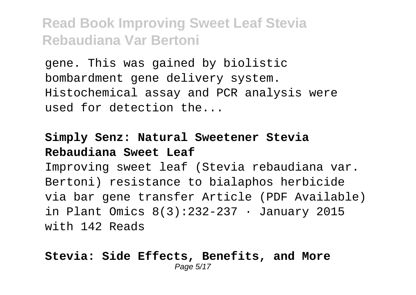gene. This was gained by biolistic bombardment gene delivery system. Histochemical assay and PCR analysis were used for detection the...

#### **Simply Senz: Natural Sweetener Stevia Rebaudiana Sweet Leaf**

Improving sweet leaf (Stevia rebaudiana var. Bertoni) resistance to bialaphos herbicide via bar gene transfer Article (PDF Available) in Plant Omics 8(3):232-237 · January 2015 with 142 Reads

#### **Stevia: Side Effects, Benefits, and More** Page 5/17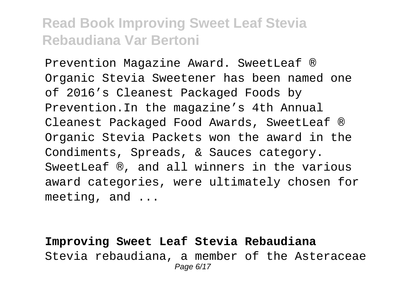Prevention Magazine Award. SweetLeaf ® Organic Stevia Sweetener has been named one of 2016's Cleanest Packaged Foods by Prevention.In the magazine's 4th Annual Cleanest Packaged Food Awards, SweetLeaf ® Organic Stevia Packets won the award in the Condiments, Spreads, & Sauces category. SweetLeaf ®, and all winners in the various award categories, were ultimately chosen for meeting, and ...

**Improving Sweet Leaf Stevia Rebaudiana** Stevia rebaudiana, a member of the Asteraceae Page 6/17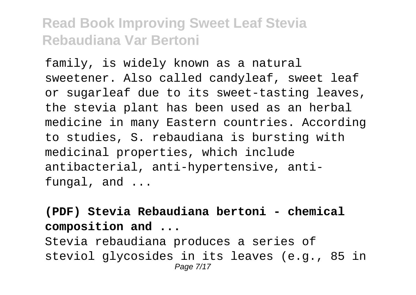family, is widely known as a natural sweetener. Also called candyleaf, sweet leaf or sugarleaf due to its sweet-tasting leaves, the stevia plant has been used as an herbal medicine in many Eastern countries. According to studies, S. rebaudiana is bursting with medicinal properties, which include antibacterial, anti-hypertensive, antifungal, and ...

**(PDF) Stevia Rebaudiana bertoni - chemical composition and ...**

Stevia rebaudiana produces a series of steviol glycosides in its leaves (e.g., 85 in Page 7/17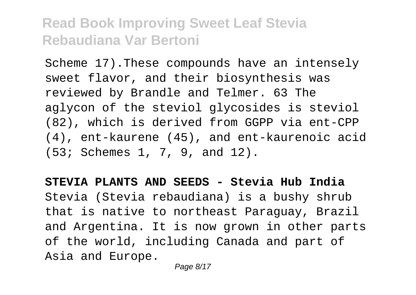Scheme 17).These compounds have an intensely sweet flavor, and their biosynthesis was reviewed by Brandle and Telmer. 63 The aglycon of the steviol glycosides is steviol (82), which is derived from GGPP via ent-CPP (4), ent-kaurene (45), and ent-kaurenoic acid (53; Schemes 1, 7, 9, and 12).

**STEVIA PLANTS AND SEEDS - Stevia Hub India** Stevia (Stevia rebaudiana) is a bushy shrub that is native to northeast Paraguay, Brazil and Argentina. It is now grown in other parts of the world, including Canada and part of Asia and Europe.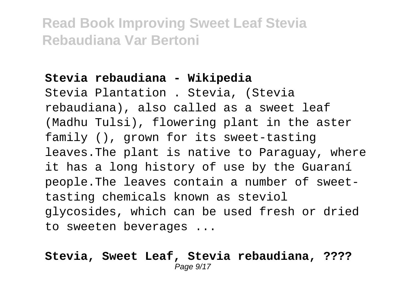#### **Stevia rebaudiana - Wikipedia**

Stevia Plantation . Stevia, (Stevia rebaudiana), also called as a sweet leaf (Madhu Tulsi), flowering plant in the aster family (), grown for its sweet-tasting leaves.The plant is native to Paraguay, where it has a long history of use by the Guaraní people.The leaves contain a number of sweettasting chemicals known as steviol glycosides, which can be used fresh or dried to sweeten beverages ...

#### **Stevia, Sweet Leaf, Stevia rebaudiana, ????** Page  $9/17$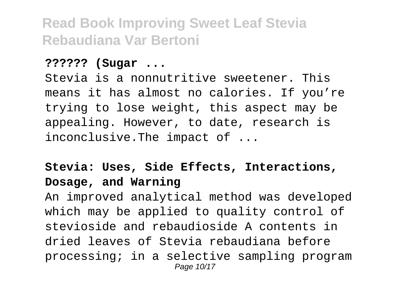#### **?????? (Sugar ...**

Stevia is a nonnutritive sweetener. This means it has almost no calories. If you're trying to lose weight, this aspect may be appealing. However, to date, research is inconclusive.The impact of ...

### **Stevia: Uses, Side Effects, Interactions, Dosage, and Warning**

An improved analytical method was developed which may be applied to quality control of stevioside and rebaudioside A contents in dried leaves of Stevia rebaudiana before processing; in a selective sampling program Page 10/17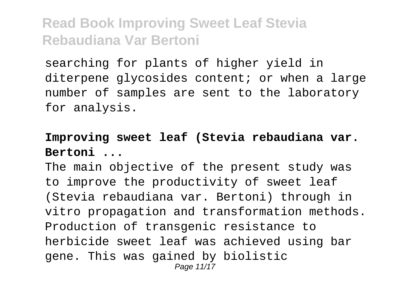searching for plants of higher yield in diterpene glycosides content; or when a large number of samples are sent to the laboratory for analysis.

#### **Improving sweet leaf (Stevia rebaudiana var. Bertoni ...**

The main objective of the present study was to improve the productivity of sweet leaf (Stevia rebaudiana var. Bertoni) through in vitro propagation and transformation methods. Production of transgenic resistance to herbicide sweet leaf was achieved using bar gene. This was gained by biolistic Page 11/17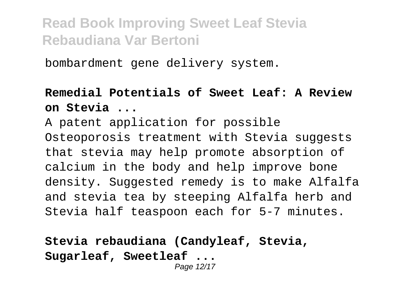bombardment gene delivery system.

#### **Remedial Potentials of Sweet Leaf: A Review on Stevia ...**

A patent application for possible Osteoporosis treatment with Stevia suggests that stevia may help promote absorption of calcium in the body and help improve bone density. Suggested remedy is to make Alfalfa and stevia tea by steeping Alfalfa herb and Stevia half teaspoon each for 5-7 minutes.

#### **Stevia rebaudiana (Candyleaf, Stevia, Sugarleaf, Sweetleaf ...** Page 12/17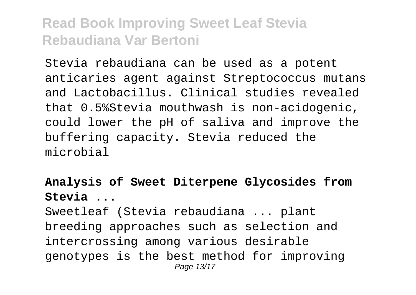Stevia rebaudiana can be used as a potent anticaries agent against Streptococcus mutans and Lactobacillus. Clinical studies revealed that 0.5%Stevia mouthwash is non-acidogenic, could lower the pH of saliva and improve the buffering capacity. Stevia reduced the microbial

**Analysis of Sweet Diterpene Glycosides from Stevia ...**

Sweetleaf (Stevia rebaudiana ... plant breeding approaches such as selection and intercrossing among various desirable genotypes is the best method for improving Page 13/17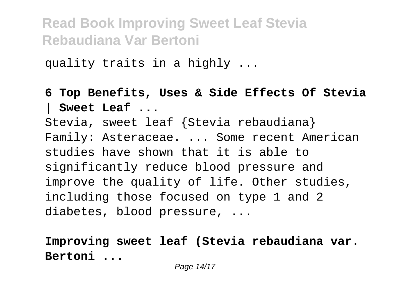quality traits in a highly ...

### **6 Top Benefits, Uses & Side Effects Of Stevia | Sweet Leaf ...** Stevia, sweet leaf {Stevia rebaudiana} Family: Asteraceae. ... Some recent American studies have shown that it is able to significantly reduce blood pressure and improve the quality of life. Other studies, including those focused on type 1 and 2 diabetes, blood pressure, ...

**Improving sweet leaf (Stevia rebaudiana var. Bertoni ...**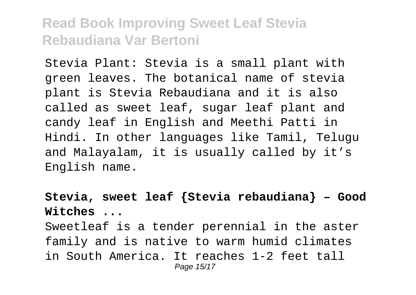Stevia Plant: Stevia is a small plant with green leaves. The botanical name of stevia plant is Stevia Rebaudiana and it is also called as sweet leaf, sugar leaf plant and candy leaf in English and Meethi Patti in Hindi. In other languages like Tamil, Telugu and Malayalam, it is usually called by it's English name.

### **Stevia, sweet leaf {Stevia rebaudiana} – Good Witches ...**

Sweetleaf is a tender perennial in the aster family and is native to warm humid climates in South America. It reaches 1-2 feet tall Page 15/17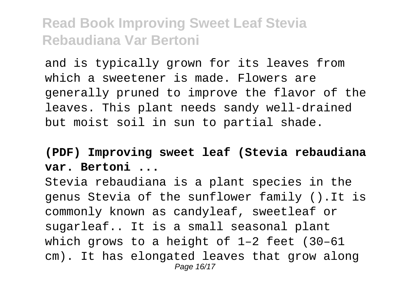and is typically grown for its leaves from which a sweetener is made. Flowers are generally pruned to improve the flavor of the leaves. This plant needs sandy well-drained but moist soil in sun to partial shade.

#### **(PDF) Improving sweet leaf (Stevia rebaudiana var. Bertoni ...**

Stevia rebaudiana is a plant species in the genus Stevia of the sunflower family ().It is commonly known as candyleaf, sweetleaf or sugarleaf.. It is a small seasonal plant which grows to a height of 1–2 feet (30–61 cm). It has elongated leaves that grow along Page 16/17